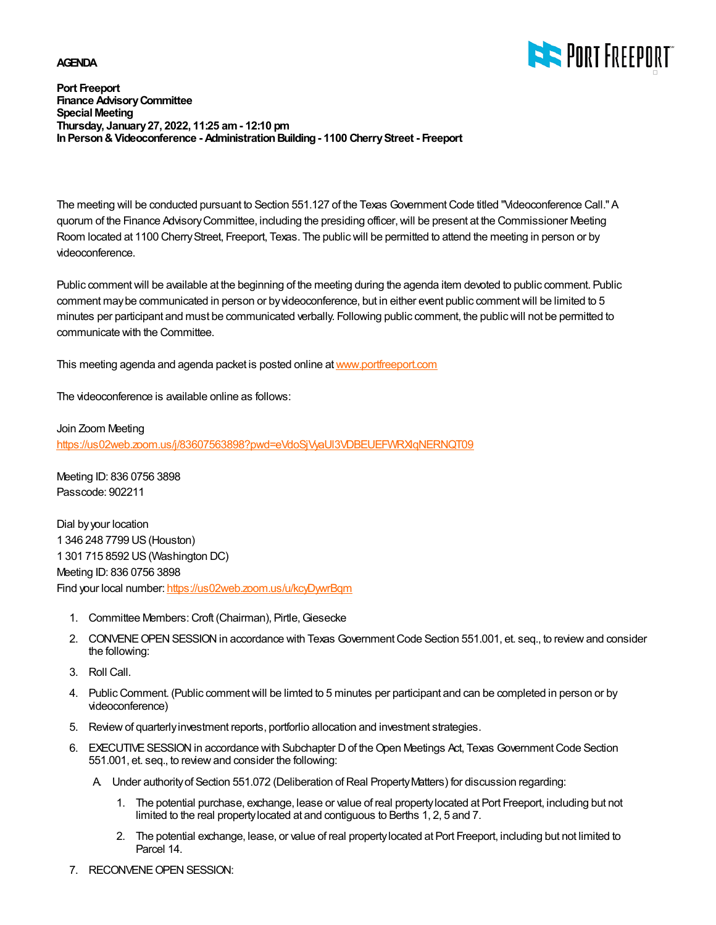#### **AGENDA**



**Port Freeport Finance Advisory Committee Special Meeting Thursday, January 27, 2022, 11:25 am - 12:10 pm In Person & Videoconference - Administration Building - 1100 Cherry Street - Freeport**

The meeting will be conducted pursuant to Section 551.127 of the Texas Government Code titled "Videoconference Call." A quorum of the Finance Advisory Committee, including the presiding officer, will be present at the Commissioner Meeting Room located at 1100 Cherry Street, Freeport, Texas. The public will be permitted to attend the meeting in person or by videoconference.

Public comment will be available at the beginning of the meeting during the agenda item devoted to public comment. Public comment may be communicated in person or by videoconference, but in either event public comment will be limited to 5 minutes per participant and must be communicated verbally. Following public comment, the public will not be permitted to communicate with the Committee.

This meeting agenda and agenda packet is posted online at [www.portfreeport.com](http://www.portfreeport.com)

The videoconference is available online as follows:

Join Zoom Meeting

https://us02web.zoom.us/j/83607563898?pwd=eVdoSjVyaUI3VDBEUEFWRXIgNERNQT09

Meeting ID: 836 0756 3898 Passcode: 902211

Dial by your location 1 346 248 7799 US (Houston) 1 301 715 8592 US (Washington DC) Meeting ID: 836 0756 3898 Find your local number:<https://us02web.zoom.us/u/kcyDywrBqm>

- 1. Committee Members: Croft (Chairman), Pirtle, Giesecke
- 2. CONVENE OPEN SESSION in accordance with Texas Government Code Section 551.001, et. seq., to review and consider the following:
- 3. Roll Call.
- 4. Public Comment. (Public comment will be limted to 5 minutes per participant and can be completed in person or by videoconference)
- 5. Review of quarterly investment reports, portforlio allocation and investment strategies.
- EXECUTIVE SESSION in accordance with Subchapter D of the Open Meetings Act, Texas Government Code Section 6. 551.001, et. seq., to review and consider the following:
	- A. Under authority of Section 551.072 (Deliberation of Real Property Matters) for discussion regarding:
		- 1. The potential purchase, exchange, lease or value of real property located at Port Freeport, including but not limited to the real property located at and contiguous to Berths 1, 2, 5 and 7.
		- The potential exchange, lease, or value of real property located at Port Freeport, including but not limited to 2. Parcel 14.
- 7. RECONVENE OPEN SESSION: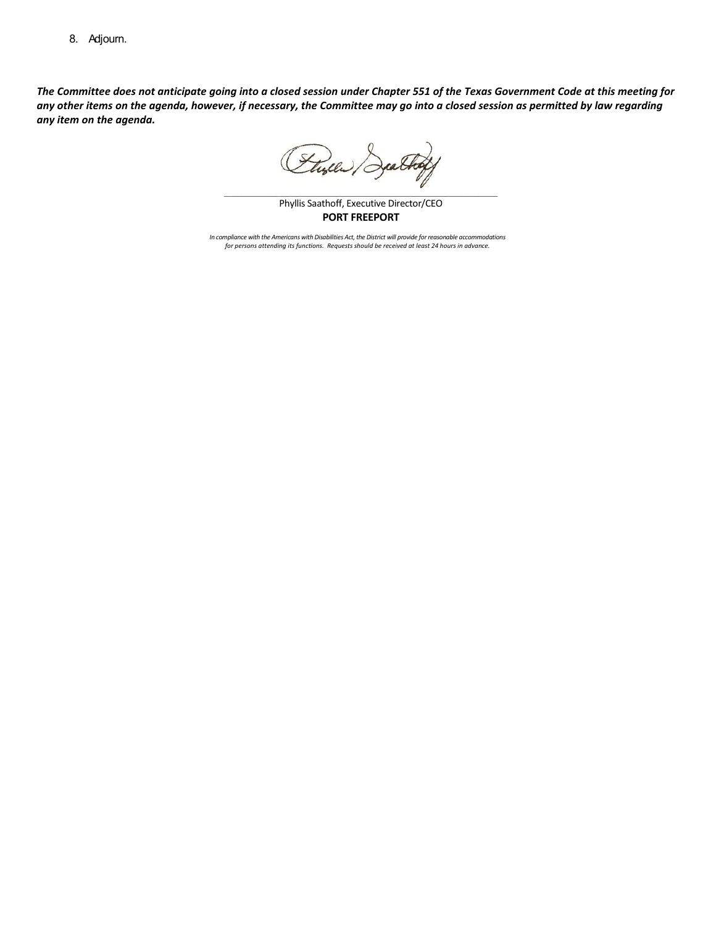8. Adjourn.

*The Committee does not anticipate going into a closed session under Chapter 551 of the Texas Government Code at this meeting for any other items on the agenda, however, if necessary, the Committee may go into a closed session as permitted by law regarding any item on the agenda.* 

Flyer Jathy

\_\_\_\_\_\_\_\_\_\_\_\_\_\_\_\_\_\_\_\_\_\_\_\_\_\_\_\_\_\_\_\_\_\_\_\_\_\_\_\_\_\_\_\_\_\_\_\_\_\_\_\_\_\_\_\_\_\_\_\_\_\_\_\_\_\_\_\_\_\_\_\_\_\_\_\_\_\_\_\_\_\_\_\_\_\_\_\_\_\_\_\_\_\_\_\_\_\_\_\_ Phyllis Saathoff, Executive Director/CEO **PORT FREEPORT**

*In compliance with the Americans with Disabilities Act, the District will provide for reasonable accommodations for persons attending its functions. Requests should be received at least 24 hours in advance.*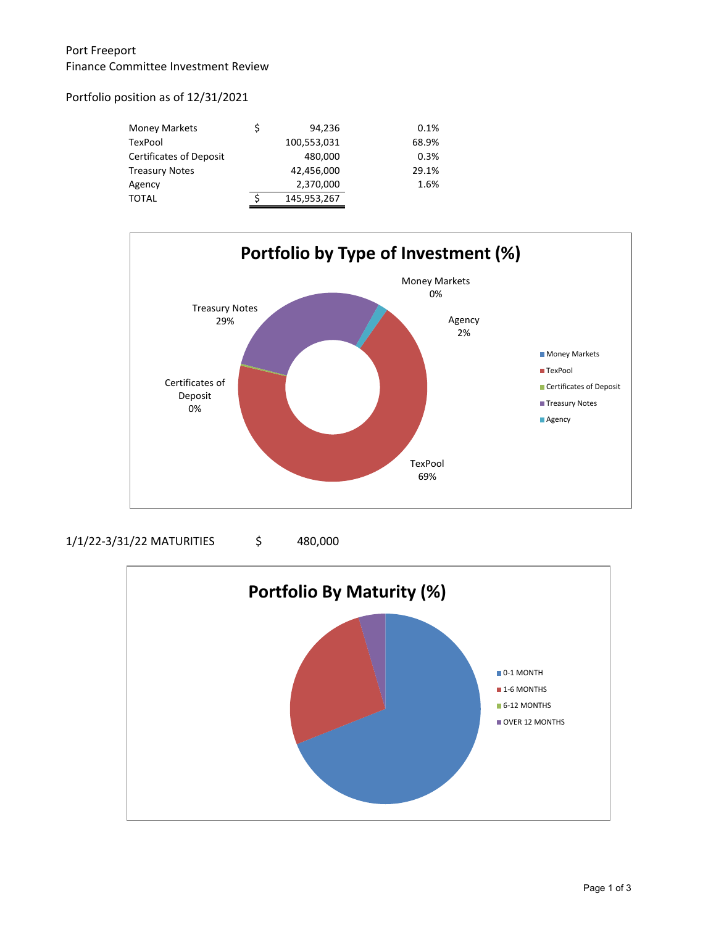### Port Freeport Finance Committee Investment Review

Portfolio position as of 12/31/2021

| <b>Money Markets</b>           | \$ | 94.236      | 0.1%  |
|--------------------------------|----|-------------|-------|
| TexPool                        |    | 100,553,031 | 68.9% |
| <b>Certificates of Deposit</b> |    | 480,000     | 0.3%  |
| <b>Treasury Notes</b>          |    | 42,456,000  | 29.1% |
| Agency                         |    | 2,370,000   | 1.6%  |
| <b>TOTAL</b>                   | Ś  | 145,953,267 |       |



1/1/22-3/31/22 MATURITIES \$ 480,000

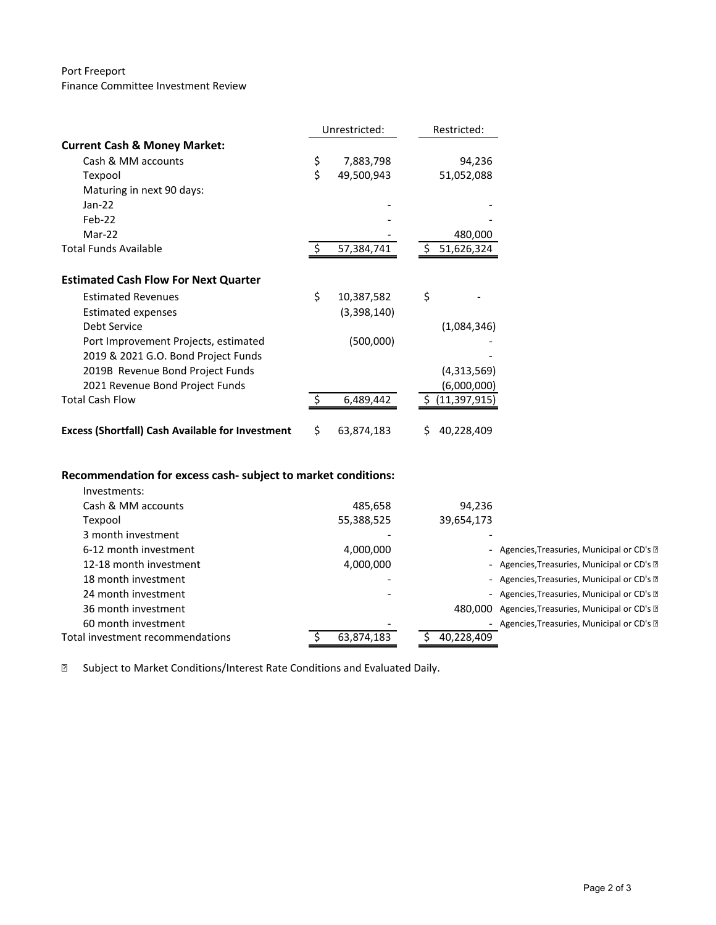#### Port Freeport Finance Committee Investment Review

|                                                         | Unrestricted: |             |    | Restricted:    |  |
|---------------------------------------------------------|---------------|-------------|----|----------------|--|
| <b>Current Cash &amp; Money Market:</b>                 |               |             |    |                |  |
| Cash & MM accounts                                      | \$            | 7,883,798   |    | 94,236         |  |
| Texpool                                                 | \$            | 49,500,943  |    | 51,052,088     |  |
| Maturing in next 90 days:                               |               |             |    |                |  |
| $Jan-22$                                                |               |             |    |                |  |
| $Feb-22$                                                |               |             |    |                |  |
| $Mar-22$                                                |               |             |    | 480,000        |  |
| Total Funds Available                                   |               | 57,384,741  |    | 51,626,324     |  |
|                                                         |               |             |    |                |  |
| <b>Estimated Cash Flow For Next Quarter</b>             |               |             |    |                |  |
| <b>Estimated Revenues</b>                               | \$            | 10,387,582  | \$ |                |  |
| <b>Estimated expenses</b>                               |               | (3,398,140) |    |                |  |
| Debt Service                                            |               |             |    | (1,084,346)    |  |
| Port Improvement Projects, estimated                    |               | (500,000)   |    |                |  |
| 2019 & 2021 G.O. Bond Project Funds                     |               |             |    |                |  |
| 2019B Revenue Bond Project Funds                        |               |             |    | (4,313,569)    |  |
| 2021 Revenue Bond Project Funds                         |               |             |    | (6,000,000)    |  |
| <b>Total Cash Flow</b>                                  |               | 6,489,442   |    | (11, 397, 915) |  |
|                                                         |               |             |    |                |  |
| <b>Excess (Shortfall) Cash Available for Investment</b> | \$            | 63,874,183  | S  | 40,228,409     |  |

## **Recommendation for excess cash- subject to market conditions:**

| Investments:                     |            |            |                                             |
|----------------------------------|------------|------------|---------------------------------------------|
| Cash & MM accounts               | 485,658    | 94,236     |                                             |
| Texpool                          | 55,388,525 | 39,654,173 |                                             |
| 3 month investment               |            |            |                                             |
| 6-12 month investment            | 4,000,000  |            | - Agencies, Treasuries, Municipal or CD's ? |
| 12-18 month investment           | 4,000,000  |            | - Agencies, Treasuries, Municipal or CD's ? |
| 18 month investment              |            |            | - Agencies, Treasuries, Municipal or CD's ? |
| 24 month investment              |            |            | - Agencies, Treasuries, Municipal or CD's ? |
| 36 month investment              |            | 480.000    | Agencies, Treasuries, Municipal or CD's ?   |
| 60 month investment              |            |            | - Agencies, Treasuries, Municipal or CD's ? |
| Total investment recommendations | 63.874.183 | 40.228.409 |                                             |
|                                  |            |            |                                             |

Subject to Market Conditions/Interest Rate Conditions and Evaluated Daily.